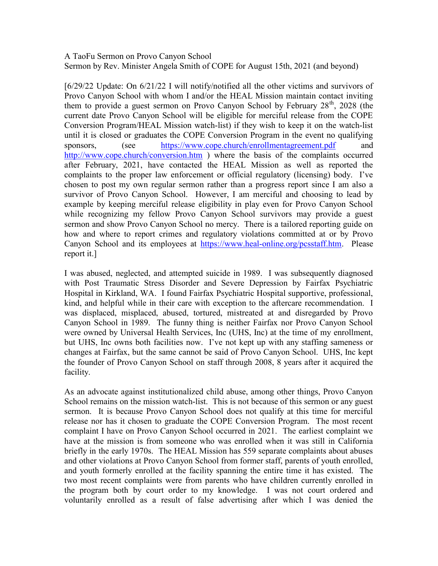## A TaoFu Sermon on Provo Canyon School Sermon by Rev. Minister Angela Smith of COPE for August 15th, 2021 (and beyond)

[6/29/22 Update: On 6/21/22 I will notify/notified all the other victims and survivors of Provo Canyon School with whom I and/or the HEAL Mission maintain contact inviting them to provide a guest sermon on Provo Canyon School by February  $28<sup>th</sup>$ , 2028 (the current date Provo Canyon School will be eligible for merciful release from the COPE Conversion Program/HEAL Mission watch-list) if they wish to keep it on the watch-list until it is closed or graduates the COPE Conversion Program in the event no qualifying sponsors, (see https://www.cope.church/enrollmentagreement.pdf and http://www.cope.church/conversion.htm ) where the basis of the complaints occurred after February, 2021, have contacted the HEAL Mission as well as reported the complaints to the proper law enforcement or official regulatory (licensing) body. I've chosen to post my own regular sermon rather than a progress report since I am also a survivor of Provo Canyon School. However, I am merciful and choosing to lead by example by keeping merciful release eligibility in play even for Provo Canyon School while recognizing my fellow Provo Canyon School survivors may provide a guest sermon and show Provo Canyon School no mercy. There is a tailored reporting guide on how and where to report crimes and regulatory violations committed at or by Provo Canyon School and its employees at https://www.heal-online.org/pcsstaff.htm. Please report it.]

I was abused, neglected, and attempted suicide in 1989. I was subsequently diagnosed with Post Traumatic Stress Disorder and Severe Depression by Fairfax Psychiatric Hospital in Kirkland, WA. I found Fairfax Psychiatric Hospital supportive, professional, kind, and helpful while in their care with exception to the aftercare recommendation. I was displaced, misplaced, abused, tortured, mistreated at and disregarded by Provo Canyon School in 1989. The funny thing is neither Fairfax nor Provo Canyon School were owned by Universal Health Services, Inc (UHS, Inc) at the time of my enrollment, but UHS, Inc owns both facilities now. I've not kept up with any staffing sameness or changes at Fairfax, but the same cannot be said of Provo Canyon School. UHS, Inc kept the founder of Provo Canyon School on staff through 2008, 8 years after it acquired the facility.

As an advocate against institutionalized child abuse, among other things, Provo Canyon School remains on the mission watch-list. This is not because of this sermon or any guest sermon. It is because Provo Canyon School does not qualify at this time for merciful release nor has it chosen to graduate the COPE Conversion Program. The most recent complaint I have on Provo Canyon School occurred in 2021. The earliest complaint we have at the mission is from someone who was enrolled when it was still in California briefly in the early 1970s. The HEAL Mission has 559 separate complaints about abuses and other violations at Provo Canyon School from former staff, parents of youth enrolled, and youth formerly enrolled at the facility spanning the entire time it has existed. The two most recent complaints were from parents who have children currently enrolled in the program both by court order to my knowledge. I was not court ordered and voluntarily enrolled as a result of false advertising after which I was denied the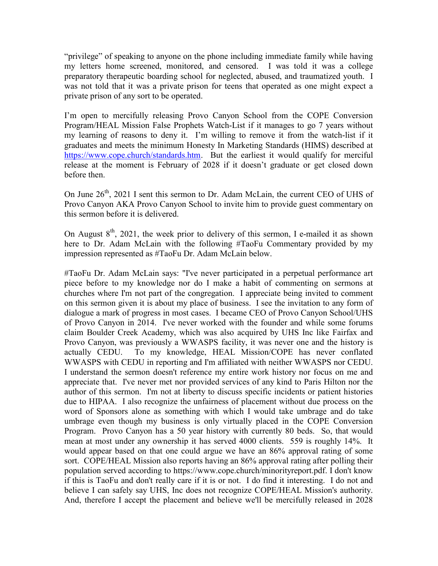"privilege" of speaking to anyone on the phone including immediate family while having my letters home screened, monitored, and censored. I was told it was a college preparatory therapeutic boarding school for neglected, abused, and traumatized youth. I was not told that it was a private prison for teens that operated as one might expect a private prison of any sort to be operated.

I'm open to mercifully releasing Provo Canyon School from the COPE Conversion Program/HEAL Mission False Prophets Watch-List if it manages to go 7 years without my learning of reasons to deny it. I'm willing to remove it from the watch-list if it graduates and meets the minimum Honesty In Marketing Standards (HIMS) described at https://www.cope.church/standards.htm. But the earliest it would qualify for merciful release at the moment is February of 2028 if it doesn't graduate or get closed down before then.

On June  $26<sup>th</sup>$ , 2021 I sent this sermon to Dr. Adam McLain, the current CEO of UHS of Provo Canyon AKA Provo Canyon School to invite him to provide guest commentary on this sermon before it is delivered.

On August  $8<sup>th</sup>$ , 2021, the week prior to delivery of this sermon, I e-mailed it as shown here to Dr. Adam McLain with the following #TaoFu Commentary provided by my impression represented as #TaoFu Dr. Adam McLain below.

#TaoFu Dr. Adam McLain says: "I've never participated in a perpetual performance art piece before to my knowledge nor do I make a habit of commenting on sermons at churches where I'm not part of the congregation. I appreciate being invited to comment on this sermon given it is about my place of business. I see the invitation to any form of dialogue a mark of progress in most cases. I became CEO of Provo Canyon School/UHS of Provo Canyon in 2014. I've never worked with the founder and while some forums claim Boulder Creek Academy, which was also acquired by UHS Inc like Fairfax and Provo Canyon, was previously a WWASPS facility, it was never one and the history is actually CEDU. To my knowledge, HEAL Mission/COPE has never conflated WWASPS with CEDU in reporting and I'm affiliated with neither WWASPS nor CEDU. I understand the sermon doesn't reference my entire work history nor focus on me and appreciate that. I've never met nor provided services of any kind to Paris Hilton nor the author of this sermon. I'm not at liberty to discuss specific incidents or patient histories due to HIPAA. I also recognize the unfairness of placement without due process on the word of Sponsors alone as something with which I would take umbrage and do take umbrage even though my business is only virtually placed in the COPE Conversion Program. Provo Canyon has a 50 year history with currently 80 beds. So, that would mean at most under any ownership it has served 4000 clients. 559 is roughly 14%. It would appear based on that one could argue we have an 86% approval rating of some sort. COPE/HEAL Mission also reports having an 86% approval rating after polling their population served according to https://www.cope.church/minorityreport.pdf. I don't know if this is TaoFu and don't really care if it is or not. I do find it interesting. I do not and believe I can safely say UHS, Inc does not recognize COPE/HEAL Mission's authority. And, therefore I accept the placement and believe we'll be mercifully released in 2028